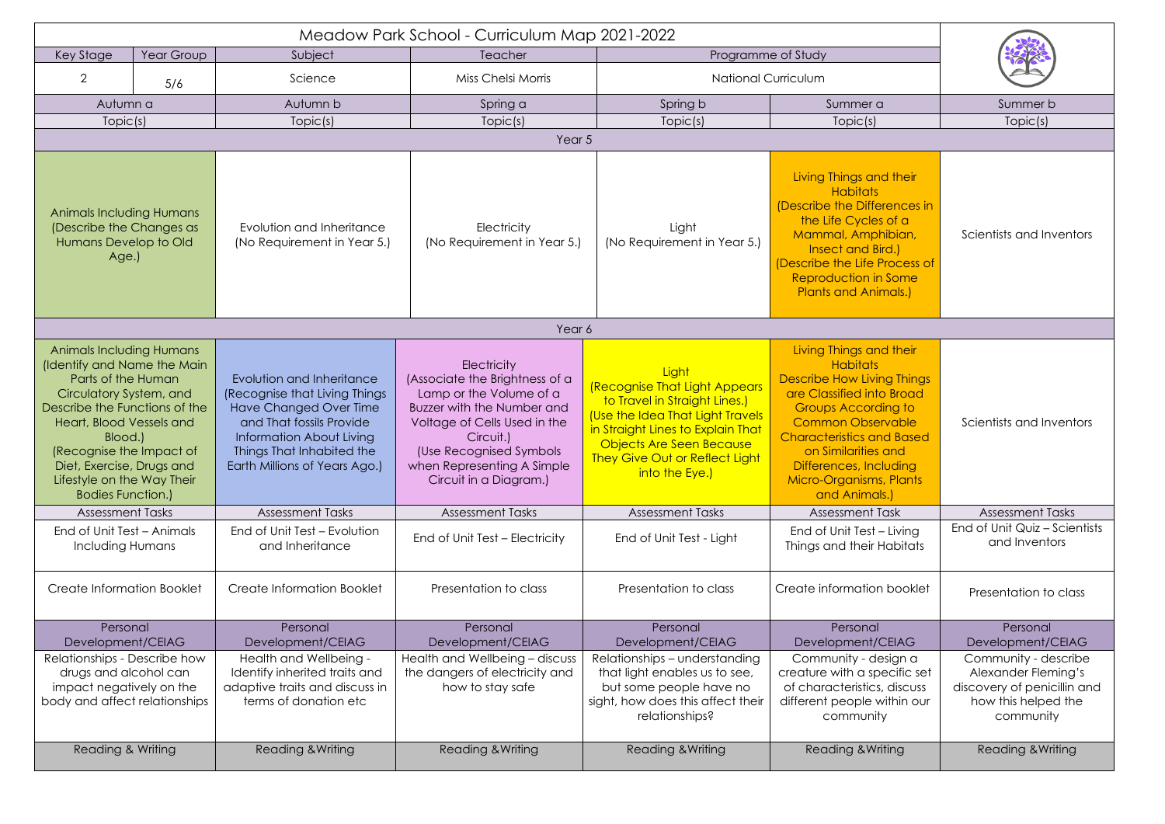| <b>Key Stage</b>                                                                                                                                                                                                                                                                                           | Year Group | Subject                                                                                                                                                                                                    | Programme of Study<br>Teacher                                                                                                                                                                                                                 |                                                                                                                                                                                                                                         |                                                                                                                                                                                                                                                                                                         |                                                                                                                |  |  |  |  |
|------------------------------------------------------------------------------------------------------------------------------------------------------------------------------------------------------------------------------------------------------------------------------------------------------------|------------|------------------------------------------------------------------------------------------------------------------------------------------------------------------------------------------------------------|-----------------------------------------------------------------------------------------------------------------------------------------------------------------------------------------------------------------------------------------------|-----------------------------------------------------------------------------------------------------------------------------------------------------------------------------------------------------------------------------------------|---------------------------------------------------------------------------------------------------------------------------------------------------------------------------------------------------------------------------------------------------------------------------------------------------------|----------------------------------------------------------------------------------------------------------------|--|--|--|--|
| $\overline{2}$                                                                                                                                                                                                                                                                                             | 5/6        | Science                                                                                                                                                                                                    | Miss Chelsi Morris                                                                                                                                                                                                                            | <b>National Curriculum</b>                                                                                                                                                                                                              |                                                                                                                                                                                                                                                                                                         |                                                                                                                |  |  |  |  |
| Autumn a                                                                                                                                                                                                                                                                                                   |            | Autumn b                                                                                                                                                                                                   | Spring a                                                                                                                                                                                                                                      | Spring b                                                                                                                                                                                                                                | Summer a                                                                                                                                                                                                                                                                                                | Summer b                                                                                                       |  |  |  |  |
| Topic(s)                                                                                                                                                                                                                                                                                                   |            | Topic(s)                                                                                                                                                                                                   | Topic(s)                                                                                                                                                                                                                                      | Topic(s)                                                                                                                                                                                                                                | Topic(s)                                                                                                                                                                                                                                                                                                | Topic(s)                                                                                                       |  |  |  |  |
| Year 5                                                                                                                                                                                                                                                                                                     |            |                                                                                                                                                                                                            |                                                                                                                                                                                                                                               |                                                                                                                                                                                                                                         |                                                                                                                                                                                                                                                                                                         |                                                                                                                |  |  |  |  |
| <b>Animals Including Humans</b><br>(Describe the Changes as<br>Humans Develop to Old<br>Age.)                                                                                                                                                                                                              |            | Evolution and Inheritance<br>(No Requirement in Year 5.)                                                                                                                                                   | Electricity<br>(No Requirement in Year 5.)                                                                                                                                                                                                    | Light<br>(No Requirement in Year 5.)                                                                                                                                                                                                    | Living Things and their<br><b>Habitats</b><br>(Describe the Differences in<br>the Life Cycles of a<br>Mammal, Amphibian,<br>Insect and Bird.)<br>(Describe the Life Process of<br>Reproduction in Some<br><b>Plants and Animals.)</b>                                                                   | Scientists and Inventors                                                                                       |  |  |  |  |
| Year 6                                                                                                                                                                                                                                                                                                     |            |                                                                                                                                                                                                            |                                                                                                                                                                                                                                               |                                                                                                                                                                                                                                         |                                                                                                                                                                                                                                                                                                         |                                                                                                                |  |  |  |  |
| <b>Animals Including Humans</b><br>(Identify and Name the Main<br>Parts of the Human<br>Circulatory System, and<br>Describe the Functions of the<br>Heart, Blood Vessels and<br>Blood.)<br>(Recognise the Impact of<br>Diet, Exercise, Drugs and<br>Lifestyle on the Way Their<br><b>Bodies Function.)</b> |            | Evolution and Inheritance<br>(Recognise that Living Things<br>Have Changed Over Time<br>and That fossils Provide<br>Information About Living<br>Things That Inhabited the<br>Earth Millions of Years Ago.) | Electricity<br>(Associate the Brightness of a<br>Lamp or the Volume of a<br><b>Buzzer with the Number and</b><br>Voltage of Cells Used in the<br>Circuit.)<br>(Use Recognised Symbols<br>when Representing A Simple<br>Circuit in a Diagram.) | Light<br><b>(Recognise That Light Appears</b><br>to Travel in Straight Lines.)<br>(Use the Idea That Light Travels<br>in Straight Lines to Explain That<br>Objects Are Seen Because<br>They Give Out or Reflect Light<br>into the Eye.) | Living Things and their<br><b>Habitats</b><br><b>Describe How Living Things</b><br>are Classified into Broad<br><b>Groups According to</b><br><b>Common Observable</b><br><b>Characteristics and Based</b><br>on Similarities and<br>Differences, Including<br>Micro-Organisms, Plants<br>and Animals.) | Scientists and Inventors                                                                                       |  |  |  |  |
| <b>Assessment Tasks</b>                                                                                                                                                                                                                                                                                    |            | <b>Assessment Tasks</b>                                                                                                                                                                                    | <b>Assessment Tasks</b>                                                                                                                                                                                                                       | <b>Assessment Tasks</b>                                                                                                                                                                                                                 | <b>Assessment Task</b>                                                                                                                                                                                                                                                                                  | <b>Assessment Tasks</b>                                                                                        |  |  |  |  |
| End of Unit Test - Animals<br><b>Including Humans</b>                                                                                                                                                                                                                                                      |            | End of Unit Test - Evolution<br>and Inheritance                                                                                                                                                            | End of Unit Test - Electricity                                                                                                                                                                                                                | End of Unit Test - Light                                                                                                                                                                                                                | End of Unit Test - Living<br>Things and their Habitats                                                                                                                                                                                                                                                  | End of Unit Quiz - Scientists<br>and Inventors                                                                 |  |  |  |  |
| Create Information Booklet                                                                                                                                                                                                                                                                                 |            | Create Information Booklet                                                                                                                                                                                 | Presentation to class                                                                                                                                                                                                                         | Presentation to class                                                                                                                                                                                                                   | Create information booklet                                                                                                                                                                                                                                                                              | Presentation to class                                                                                          |  |  |  |  |
| Personal<br>Development/CEIAG                                                                                                                                                                                                                                                                              |            | Personal<br>Development/CEIAG                                                                                                                                                                              | Personal<br>Development/CEIAG                                                                                                                                                                                                                 | Personal<br>Development/CEIAG                                                                                                                                                                                                           | Personal<br>Development/CEIAG                                                                                                                                                                                                                                                                           | Personal<br>Development/CEIAG                                                                                  |  |  |  |  |
| Relationships - Describe how<br>drugs and alcohol can<br>impact negatively on the<br>body and affect relationships                                                                                                                                                                                         |            | Health and Wellbeing -<br>Identify inherited traits and<br>adaptive traits and discuss in<br>terms of donation etc                                                                                         | Health and Wellbeing - discuss<br>the dangers of electricity and<br>how to stay safe                                                                                                                                                          | Relationships - understanding<br>that light enables us to see,<br>but some people have no<br>sight, how does this affect their<br>relationships?                                                                                        | Community - design a<br>creature with a specific set<br>of characteristics, discuss<br>different people within our<br>community                                                                                                                                                                         | Community - describe<br>Alexander Fleming's<br>discovery of penicillin and<br>how this helped the<br>community |  |  |  |  |
| Reading & Writing                                                                                                                                                                                                                                                                                          |            | Reading & Writing                                                                                                                                                                                          | <b>Reading &amp; Writing</b>                                                                                                                                                                                                                  | <b>Reading &amp; Writing</b>                                                                                                                                                                                                            | <b>Reading &amp; Writing</b>                                                                                                                                                                                                                                                                            | <b>Reading &amp; Writing</b>                                                                                   |  |  |  |  |